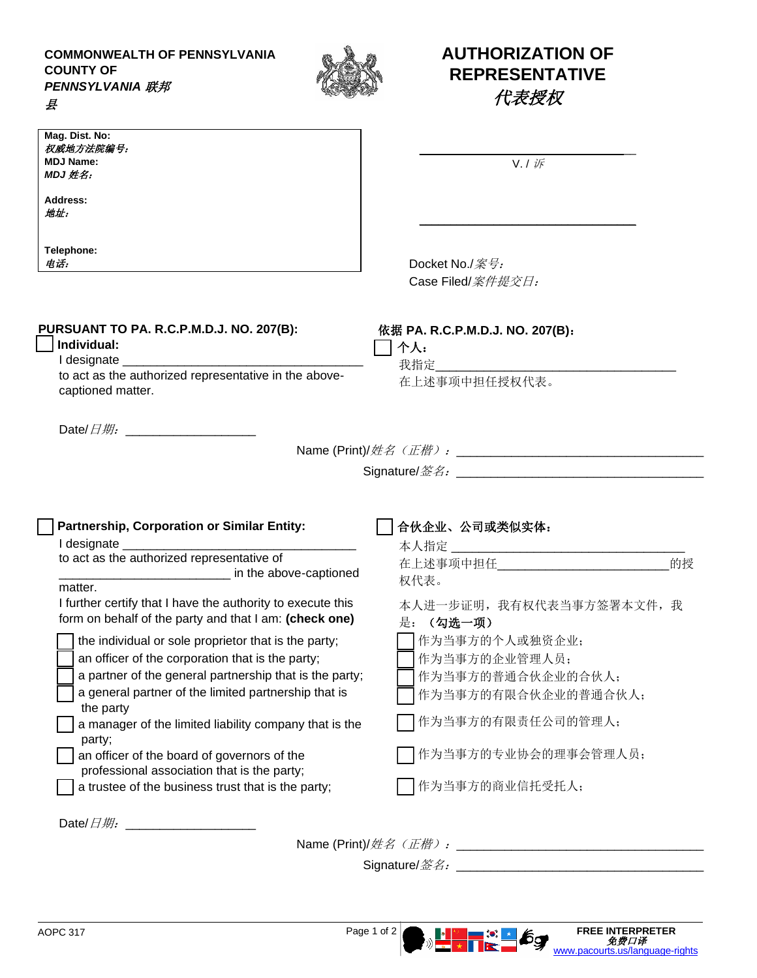**COMMONWEALTH OF PENNSYLVANIA COUNTY OF** *PENNSYLVANIA* 联邦

县



## **AUTHORIZATION OF REPRESENTATIVE** 代表授权

| Mag. Dist. No:<br>权威地方法院编号:<br><b>MDJ Name:</b><br>MDJ 姓名:<br>Address:<br>地址:<br>Telephone:<br>电话:                                                                                                                                                                                                                                                                                                                                                               | $V. I \nVdash$<br>Docket No./案号:<br>Case Filed/ <i>案件提交日:</i>                                                                                          |    |
|------------------------------------------------------------------------------------------------------------------------------------------------------------------------------------------------------------------------------------------------------------------------------------------------------------------------------------------------------------------------------------------------------------------------------------------------------------------|--------------------------------------------------------------------------------------------------------------------------------------------------------|----|
| PURSUANT TO PA. R.C.P.M.D.J. NO. 207(B):<br>Individual:<br>I designate ___________________<br>to act as the authorized representative in the above-<br>captioned matter.                                                                                                                                                                                                                                                                                         | 依据 PA. R.C.P.M.D.J. NO. 207(B):<br>个人:<br>我指定<br>在上述事项中担任授权代表。                                                                                         |    |
| Date/ $\Box$ # $\theta$ .<br>Partnership, Corporation or Similar Entity:                                                                                                                                                                                                                                                                                                                                                                                         | 合伙企业、公司或类似实体:                                                                                                                                          |    |
| to act as the authorized representative of<br><u>_____________________</u> in the above-captioned<br>matter.<br>I further certify that I have the authority to execute this<br>form on behalf of the party and that I am: (check one)                                                                                                                                                                                                                            | 在上述事项中担任<br>权代表。<br>本人进一步证明, 我有权代表当事方签署本文件, 我                                                                                                          | 的授 |
| the individual or sole proprietor that is the party;<br>an officer of the corporation that is the party;<br>a partner of the general partnership that is the party;<br>a general partner of the limited partnership that is<br>the party<br>a manager of the limited liability company that is the<br>party;<br>an officer of the board of governors of the<br>professional association that is the party;<br>a trustee of the business trust that is the party; | 是: (勾选一项)<br>作为当事方的个人或独资企业;<br>作为当事方的企业管理人员;<br>作为当事方的普通合伙企业的合伙人;<br>作为当事方的有限合伙企业的普通合伙人;<br>作为当事方的有限责任公司的管理人;<br>作为当事方的专业协会的理事会管理人员;<br>作为当事方的商业信托受托人; |    |
|                                                                                                                                                                                                                                                                                                                                                                                                                                                                  |                                                                                                                                                        |    |

Signature/签名:\_\_\_\_\_\_\_\_\_\_\_\_\_\_\_\_\_\_\_\_\_\_\_\_\_\_\_\_\_\_\_\_\_\_\_\_

[www.pacourts.us/language-rights](http://www.pacourts.us/language-rights)

AOPC 317 **Page 1 of 2 Page 1 of 2 FREE INTERPRETER**<br>
The original of 2 **C FREE INTERPRETER**